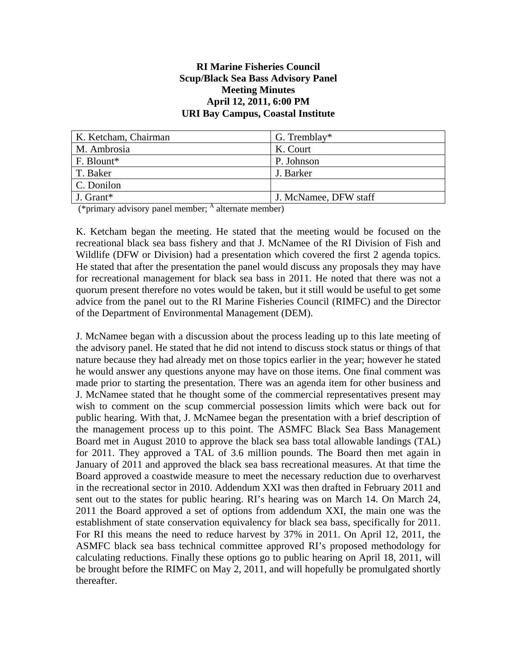## **RI Marine Fisheries Council Scup/Black Sea Bass Advisory Panel Meeting Minutes April 12, 2011, 6:00 PM URI Bay Campus, Coastal Institute**

| K. Ketcham, Chairman | G. Tremblay*          |
|----------------------|-----------------------|
| M. Ambrosia          | K. Court              |
| F. Blount*           | P. Johnson            |
| T. Baker             | J. Barker             |
| C. Donilon           |                       |
| J. Grant*            | J. McNamee, DFW staff |

 $(*\text{primary advisory panel member};$   $^{\text{A}}$  alternate member)

K. Ketcham began the meeting. He stated that the meeting would be focused on the recreational black sea bass fishery and that J. McNamee of the RI Division of Fish and Wildlife (DFW or Division) had a presentation which covered the first 2 agenda topics. He stated that after the presentation the panel would discuss any proposals they may have for recreational management for black sea bass in 2011. He noted that there was not a quorum present therefore no votes would be taken, but it still would be useful to get some advice from the panel out to the RI Marine Fisheries Council (RIMFC) and the Director of the Department of Environmental Management (DEM).

J. McNamee began with a discussion about the process leading up to this late meeting of the advisory panel. He stated that he did not intend to discuss stock status or things of that nature because they had already met on those topics earlier in the year; however he stated he would answer any questions anyone may have on those items. One final comment was made prior to starting the presentation. There was an agenda item for other business and J. McNamee stated that he thought some of the commercial representatives present may wish to comment on the scup commercial possession limits which were back out for public hearing. With that, J. McNamee began the presentation with a brief description of the management process up to this point. The ASMFC Black Sea Bass Management Board met in August 2010 to approve the black sea bass total allowable landings (TAL) for 2011. They approved a TAL of 3.6 million pounds. The Board then met again in January of 2011 and approved the black sea bass recreational measures. At that time the Board approved a coastwide measure to meet the necessary reduction due to overharvest in the recreational sector in 2010. Addendum XXI was then drafted in February 2011 and sent out to the states for public hearing. RI's hearing was on March 14. On March 24, 2011 the Board approved a set of options from addendum XXI, the main one was the establishment of state conservation equivalency for black sea bass, specifically for 2011. For RI this means the need to reduce harvest by 37% in 2011. On April 12, 2011, the ASMFC black sea bass technical committee approved RI's proposed methodology for calculating reductions. Finally these options go to public hearing on April 18, 2011, will be brought before the RIMFC on May 2, 2011, and will hopefully be promulgated shortly thereafter.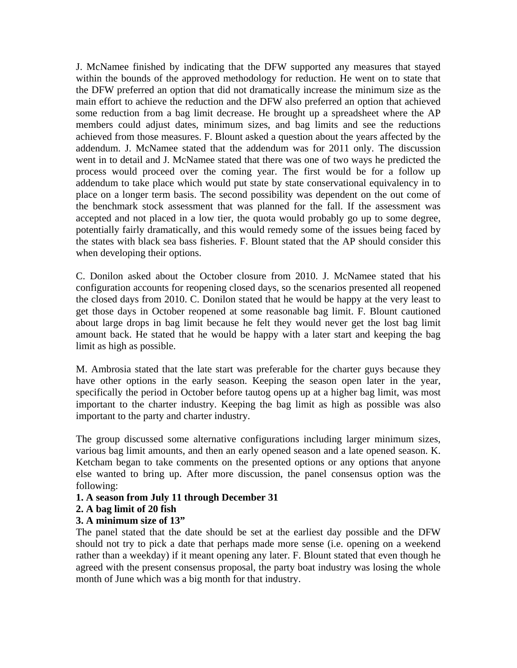J. McNamee finished by indicating that the DFW supported any measures that stayed within the bounds of the approved methodology for reduction. He went on to state that the DFW preferred an option that did not dramatically increase the minimum size as the main effort to achieve the reduction and the DFW also preferred an option that achieved some reduction from a bag limit decrease. He brought up a spreadsheet where the AP members could adjust dates, minimum sizes, and bag limits and see the reductions achieved from those measures. F. Blount asked a question about the years affected by the addendum. J. McNamee stated that the addendum was for 2011 only. The discussion went in to detail and J. McNamee stated that there was one of two ways he predicted the process would proceed over the coming year. The first would be for a follow up addendum to take place which would put state by state conservational equivalency in to place on a longer term basis. The second possibility was dependent on the out come of the benchmark stock assessment that was planned for the fall. If the assessment was accepted and not placed in a low tier, the quota would probably go up to some degree, potentially fairly dramatically, and this would remedy some of the issues being faced by the states with black sea bass fisheries. F. Blount stated that the AP should consider this when developing their options.

C. Donilon asked about the October closure from 2010. J. McNamee stated that his configuration accounts for reopening closed days, so the scenarios presented all reopened the closed days from 2010. C. Donilon stated that he would be happy at the very least to get those days in October reopened at some reasonable bag limit. F. Blount cautioned about large drops in bag limit because he felt they would never get the lost bag limit amount back. He stated that he would be happy with a later start and keeping the bag limit as high as possible.

M. Ambrosia stated that the late start was preferable for the charter guys because they have other options in the early season. Keeping the season open later in the year, specifically the period in October before tautog opens up at a higher bag limit, was most important to the charter industry. Keeping the bag limit as high as possible was also important to the party and charter industry.

The group discussed some alternative configurations including larger minimum sizes, various bag limit amounts, and then an early opened season and a late opened season. K. Ketcham began to take comments on the presented options or any options that anyone else wanted to bring up. After more discussion, the panel consensus option was the following:

## **1. A season from July 11 through December 31**

## **2. A bag limit of 20 fish**

## **3. A minimum size of 13"**

The panel stated that the date should be set at the earliest day possible and the DFW should not try to pick a date that perhaps made more sense (i.e. opening on a weekend rather than a weekday) if it meant opening any later. F. Blount stated that even though he agreed with the present consensus proposal, the party boat industry was losing the whole month of June which was a big month for that industry.